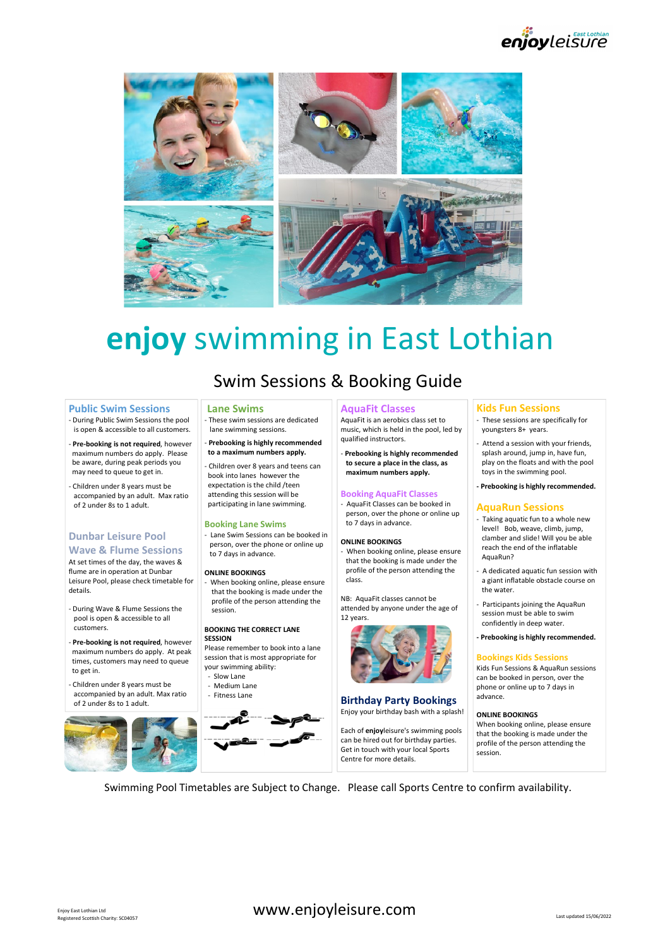enjoyleisure



# enjoy swimming in East Lothian **EXERCT SECTION SATELLY CONTINUES (SUPPRESSIONS ARE CONTINUES CONTINUES CONTINUES CONTINUES CONTINUES CONTINUES CONTINUES CONTINUES CONTINUES CONTINUES CONTINUES CONTINUES CONTINUES CONTINUES CONTINUES CONTINUES CONTINUES EXEREMENT OV SWIMMING INCREDIT SWIMMING IN SESSIONS & BOOKING GUI<br>
Public Swim Sessions the pool and the Swimming existions.**<br>
During Public Swimming existions the pool is the swimming existions.<br>
The condition is a serve SWIM Sessions & Booking Guide<br>
Lane Swims<br>
The Session of the Session and the Session of the Session and the Session of the Session and the Session of the Session of the Session of the Session of the Session of the Sessio

**Public Swim Sessions**<br>- During Public Swim Sessions the pool Finese swim sessions are dedicated

maximum numbers do apply. Please be aware, during peak periods you may need to queue to get in.

accompanied by an adult. Max ratio of 2 under 8s to 1 adult.

## Dunbar Leisure Pool | Lane Swim Sessions can be booked in

Wave & Flume Sessions<br>At set times of the day, the waves & flume are in operation at Dunbar **ONLINE BOOKINGS** details.

pool is open & accessible to all customers.<br> **- Pre-booking is not required, however SESSION** 

maximum numbers do apply. At peak times, customers may need to queue to get in.

accompanied by an adult. Max ratio Fitness Lane of 2 under 8s to 1 adult.



# Swim Sessions & Booking Guide

book into lanes however the

attending this session will be

Booking Lane Swims

to 7 days in advance.

session.

that the booking is made under the

BOOKING THE CORRECT LANE

your swimming ability:

Please remember to book into a lane session that is most appropriate for

## Lane Swims **AquaFit Classes AguaFit Classes**

lane swimming sessions.<br>- Prebooking is highly recommended and qualified instructors. music, which is held in the pool, led by

to a maximum numbers apply. Prebooking is highly recommended to secure a place in the class, as maximum numbers apply.

## Booking AquaFit Classes

participating in lane swimming. | | | | | | AquaFit Classes can be booked in AquaFit Classes can be booked in<br>person, over the phone or online up<br>Faking aquatic fun to a whole new to 7 days in advance.

person, over the phone or online up<br>the phone or online up<br>to 7 days in advance ONLINE BOOKINGS **profile of the person attending the** adedicated aqual that the booking is made under the approximated aquatic fun session with profile of the person attending the and a Adedicated aquatic fun session with class.

profile of the person attending the NB: AquaFit classes cannot be attended by anyone under the age of 12 years.



#### Birthday Party Bookings

Enjoy your birthday bash with a splash!

Each of enjoyleisure's swimming pools can be hired out for birthday parties. Get in touch with your local Sports Centre for more details.

- youngsters 8+ years.
- splash around, jump in, have fun, play on the floats and with the pool toys in the swimming pool.
- expectation is the child /teen expectation is the child /teen expectation is the child /teen

- **Example 18 Controlled Strategy Controlled Strategy Controlled Strategy Controlled Strategy Constrained Strategy Constrained Strategy and the model of the strategy of the strategy of the strategy of the strategy of the str** level! Bob, weave, climb, jump, clamber and slide! Will you be able ONLINE BOOKINGS<br>
When booking online places oncure and the end of the inflatable AquaRun? **Kids Fun Sessions**<br>
These sessions are specifically for<br>
youngsters 8+ years.<br>
A detection assession with your friends,<br>
splash around, jump in, have fun,<br>
play on the floats and with the pool<br>
toys in the swimming pool.<br> **Kids Fun Sessions**<br>
These sessions are specifically for<br>
youngsters 8+ years.<br>
Attend a session with your friends,<br>
splash around, jump in, have fun,<br>
toys in the flots and with the pool<br>
toys in the swimming pool.<br> **Preb Kids Fun Sessions**<br> **-** These sessions are specifically for<br>
youngsters 8+ years.<br>
- Attend a session with your friends,<br>
splaah around, jump in, have fun,<br>
play on the floats and with the pool<br>
toys in the swimming pool.
	- a giant inflatable obstacle course on the water.
	- session must be able to swim confidently in deep water.
	-

#### Bookings Kids Sessions

Kids Fun Sessions & AquaRun sessions can be booked in person, over the phone or online up to 7 days in advance.

#### ONLINE BOOKINGS

When booking online, please ensure that the booking is made under the profile of the person attending the session.

Swimming Pool Timetables are Subject to Change. Please call Sports Centre to confirm availability.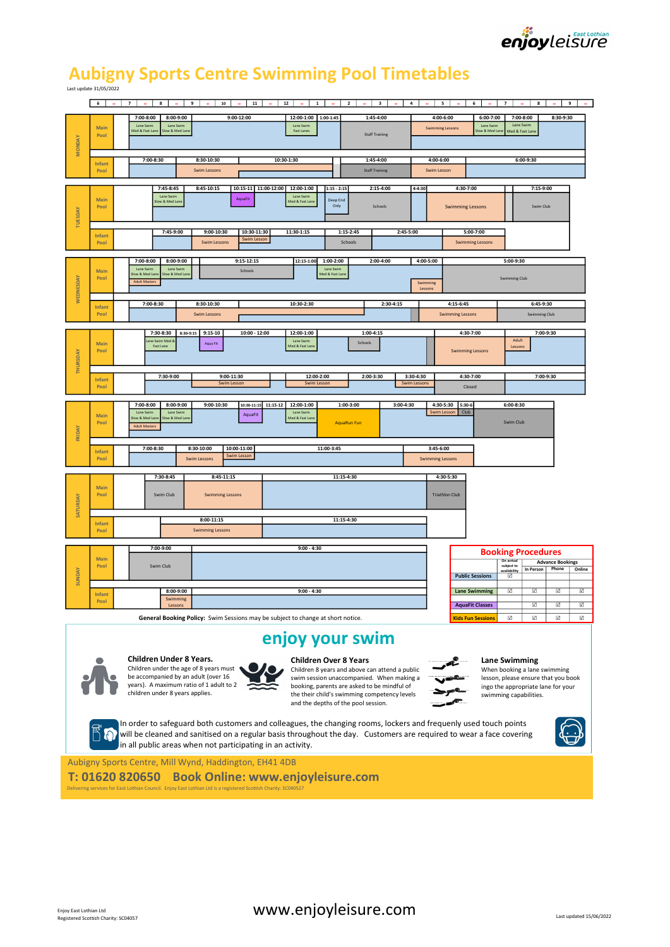

# Aubigny Sports Centre Swimming Pool Timetables

|                      | $6-1$                 | $30$ 7<br>8<br>$30$ $9$<br>10<br>11<br>30<br>30<br>30                                                                                                                                  | 12<br>$\vert 1 \vert$<br>$\overline{\mathbf{2}}$<br>$\overline{\phantom{a}3}$                                                                                                                                                                                     | $\sim$ 4                               | $5-1$<br>6                                                                       | <b>7</b>  <br>$30$ 8                                                                                                                                 | $9 \mid \omega$                                    |
|----------------------|-----------------------|----------------------------------------------------------------------------------------------------------------------------------------------------------------------------------------|-------------------------------------------------------------------------------------------------------------------------------------------------------------------------------------------------------------------------------------------------------------------|----------------------------------------|----------------------------------------------------------------------------------|------------------------------------------------------------------------------------------------------------------------------------------------------|----------------------------------------------------|
| <b>MONDAY</b>        | Main<br>Pool          | $9:00 - 12:00$<br>7:00-8:00<br>$8:00 - 9:00$<br>Lane Swim<br>Lane Swin<br>Med & Fast Lan<br>low & Med Lane                                                                             | 1:45-4:00<br>12:00-1:00<br>1:00-1:45<br>Lane Swir<br>Fast Lanes<br><b>Staff Training</b>                                                                                                                                                                          |                                        | 4:00-6:00<br>$6:00-7:00$<br>Lane Swin<br><b>Swimming Lessons</b><br>ow & Med Lan | 8:30-9:30<br>$7:00-8:00$<br>Lane Swim<br>Med & Fast Lane                                                                                             |                                                    |
|                      | <b>Infant</b><br>Pool | 7:00-8:30<br>8:30-10:30<br><b>Swim Lessons</b>                                                                                                                                         | 10:30-1:30<br>1:45-4:00<br><b>Staff Training</b>                                                                                                                                                                                                                  | $4:00 - 6:00$<br>Swim Lesson           |                                                                                  | $6:00 - 9:30$                                                                                                                                        |                                                    |
| TUESDAY              | Main<br>Pool          | 7:45-8:45<br>8:45-10:15<br>10:15-11 11:00-12:00 12:00-1:00<br>Lane Swim<br>AquaFi<br>low & Med Lan                                                                                     | $1:15 - 2:15$<br>2:15-4:00<br>Lane Swim<br>Deep End<br>Med & Fast Lane<br>Only<br>Schools                                                                                                                                                                         | $4 - 4:30$                             | 4:30-7:00<br><b>Swimming Lessons</b>                                             | 7:15-9:00<br>Swim Club                                                                                                                               |                                                    |
|                      | Infant<br>Pool        | 7:45-9:00<br>$9:00-10:30$<br>10:30-11:30<br>Swim Lesson<br>Swim Lessons                                                                                                                | 11:30-1:15<br>1:15-2:45<br>Schools                                                                                                                                                                                                                                | 2:45-5:00                              | $5:00-7:00$<br><b>Swimming Lessons</b>                                           |                                                                                                                                                      |                                                    |
| <b>WEDNESDAY</b>     | Main<br>Pool          | 7:00-8:00<br>8:00-9:00<br>9:15-12:15<br>Lane Swin<br>Lane Swin<br>Schools<br>ow & Med Lan<br>ow & Med Lar<br><b>Adult Masters</b>                                                      | 1:00-2:00<br>2:00-4:00<br>12:15-1:00<br>Lane Swin<br>Med & Fast Lane                                                                                                                                                                                              | 4:00-5:00<br>Swimming<br>Lessons       |                                                                                  | 5:00-9:30<br><b>Swimming Club</b>                                                                                                                    |                                                    |
|                      | <b>Infant</b><br>Pool | 7:00-8:30<br>8:30-10:30<br><b>Swim Lessons</b>                                                                                                                                         | 10:30-2:30                                                                                                                                                                                                                                                        | 2:30-4:15                              | 4:15-6:45<br><b>Swimming Lessons</b>                                             | 6:45-9:30<br><b>Swimming Club</b>                                                                                                                    |                                                    |
| THURSDAY             | Main<br>Pool          | 7:30-8:30<br>8:30-9:15<br>$9:15-10$<br>$10:00 - 12:00$<br>ane Swim Med<br>Aqua Fit<br>Fast Lane                                                                                        | 12:00-1:00<br>1:00-4:15<br>Lane Swim<br>Schools<br>Med & Fast Lan                                                                                                                                                                                                 |                                        | 4:30-7:00<br><b>Swimming Lessons</b>                                             | 7:00-9:30<br>Adult<br>Lessons                                                                                                                        |                                                    |
|                      | Infant<br>Pool        | 7:30-9:00<br>9:00-11:30<br>Swim Lesson                                                                                                                                                 | 12:00-2:00<br>2:00-3:30<br><b>Swim Lesson</b>                                                                                                                                                                                                                     | 3:30-4:30<br><b>Swim Lessons</b>       | 4:30-7:00<br>Closed                                                              | 7:00-9:30                                                                                                                                            |                                                    |
| FRIDAY               | Main<br>Pool          | 10:30-11:15 11:15-12 12:00-1:00<br>7:00-8:00<br>8:00-9:00<br>9:00-10:30<br>Lane Swim<br>Lane Swim<br>AquaFit<br>low & Med Lan<br>ow & Med Lan<br><b>Adult Masters</b>                  | 1:00-3:00<br>Lane Swim<br>Med & Fast Lane<br>AquaRun Fun                                                                                                                                                                                                          | 3:00-4:30                              | 4:30-5:30 5:30-6<br>Swim Lesson Club                                             | 6:00-8:30<br>Swim Club                                                                                                                               |                                                    |
|                      | Infant<br>Pool        | 7:00-8:30<br>8:30-10:00<br>10:00-11:00<br>Swim Lesson<br><b>Swim Lessons</b>                                                                                                           | 11:00-3:45                                                                                                                                                                                                                                                        | $3:45-6:00$<br><b>Swimming Lessons</b> |                                                                                  |                                                                                                                                                      |                                                    |
| SATURDAY             | Main<br>Pool          | 7:30-8:45<br>$8:45-11:15$<br>Swim Club<br><b>Swimming Lessons</b>                                                                                                                      | 11:15-4:30                                                                                                                                                                                                                                                        |                                        | 4:30-5:30<br><b>Triathlon Club</b>                                               |                                                                                                                                                      |                                                    |
|                      | Infant<br>Pool        | 8:00-11:15<br><b>Swimming Lessons</b>                                                                                                                                                  | 11:15-4:30                                                                                                                                                                                                                                                        |                                        |                                                                                  |                                                                                                                                                      |                                                    |
| <b><i>SUNDAY</i></b> | Main<br>Pool          | 7:00-9:00<br>Swim Club                                                                                                                                                                 | $9:00 - 4:30$                                                                                                                                                                                                                                                     |                                        | <b>Public Sessions</b>                                                           | <b>Booking Procedures</b><br>On arrival<br><b>Advance Bookings</b><br>subject to<br>Phone<br>In Person<br>availability<br>☑                          | Online                                             |
|                      | Infant<br>Pool        | 8:00-9:00<br>Swimming<br>Lessons                                                                                                                                                       | $9:00 - 4:30$                                                                                                                                                                                                                                                     |                                        | <b>Lane Swimming</b><br><b>AquaFit Classes</b>                                   | $\overline{\mathbf{v}}$<br>☑<br>$\boxdot$<br>☑<br>☑                                                                                                  | $\overline{\mathbf{v}}$<br>$\overline{\mathbf{v}}$ |
|                      |                       | General Booking Policy: Swim Sessions may be subject to change at short notice.                                                                                                        |                                                                                                                                                                                                                                                                   |                                        | <b>Kids Fun Sessions</b>                                                         | $\boxtimes$<br>$\overline{\mathbf{v}}$<br>$\boxed{\mathbf{v}}$                                                                                       | $\overline{\mathbb{X}}$                            |
|                      |                       |                                                                                                                                                                                        | enjoy your swim                                                                                                                                                                                                                                                   |                                        |                                                                                  |                                                                                                                                                      |                                                    |
|                      |                       | Children Under 8 Years.<br>Children under the age of 8 years must<br>be accompanied by an adult (over 16<br>years). A maximum ratio of 1 adult to 2<br>children under 8 years applies. | <b>Children Over 8 Years</b><br>Children 8 years and above can attend a public<br>swim session unaccompanied. When making a<br>booking, parents are asked to be mindful of<br>the their child's swimming competency levels<br>and the depths of the pool session. |                                        |                                                                                  | Lane Swimming<br>When booking a lane swimming<br>lesson, please ensure that you book<br>ingo the appropriate lane for your<br>swimming capabilities. |                                                    |
|                      |                       |                                                                                                                                                                                        | In order to safeguard both customers and colleagues, the changing rooms, lockers and frequenly used touch points                                                                                                                                                  |                                        |                                                                                  |                                                                                                                                                      |                                                    |
|                      | $\cup$                | will be cleaned and sanitised on a regular basis throughout the day. Customers are required to wear a face covering<br>in all public areas when not participating in an activity.      |                                                                                                                                                                                                                                                                   |                                        |                                                                                  |                                                                                                                                                      |                                                    |
|                      |                       | Aubigny Sports Centre, Mill Wynd, Haddington, EH41 4DB                                                                                                                                 |                                                                                                                                                                                                                                                                   |                                        |                                                                                  |                                                                                                                                                      |                                                    |
|                      |                       | <b>Book Online: www.enjoyleisure.com</b><br>T: 01620 820650<br>Delivering services for East Lothian Council. Enjoy East Lothian Ltd is a registered Scottish Charity: SC040527         |                                                                                                                                                                                                                                                                   |                                        |                                                                                  |                                                                                                                                                      |                                                    |
|                      |                       |                                                                                                                                                                                        |                                                                                                                                                                                                                                                                   |                                        |                                                                                  |                                                                                                                                                      |                                                    |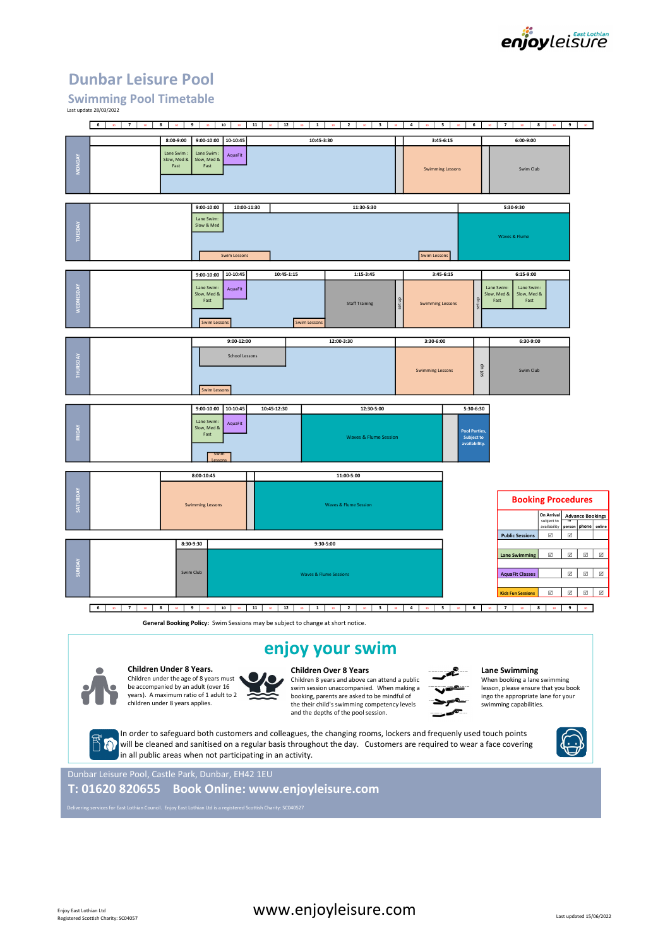

# Dunbar Leisure Pool

### Swimming Pool Timetable Last update 28/03/2022



# enjoy your swim



Children Under 8 Years. Children under the age of 8 years must be accompanied by an adult (over 16 years). A maximum ratio of 1 adult to 2 children under 8 years applies.



Children 8 years and above can attend a public swim session unaccompanied. When making a booking, parents are asked to be mindful of the their child's swimming competency levels and the depths of the pool session.



When booking a lane swimming

lesson, please ensure that you book ingo the appropriate lane for your swimming capabilities.

will be cleaned and sanitised on a regular basis throughout the day. Customers are required to wear a face covering in all public areas when not participating in an activity.



Dunbar Leisure Pool, Castle Park, Dunbar, EH42 1EU

T: 01620 820655 Book Online: www.enjoyleisure.com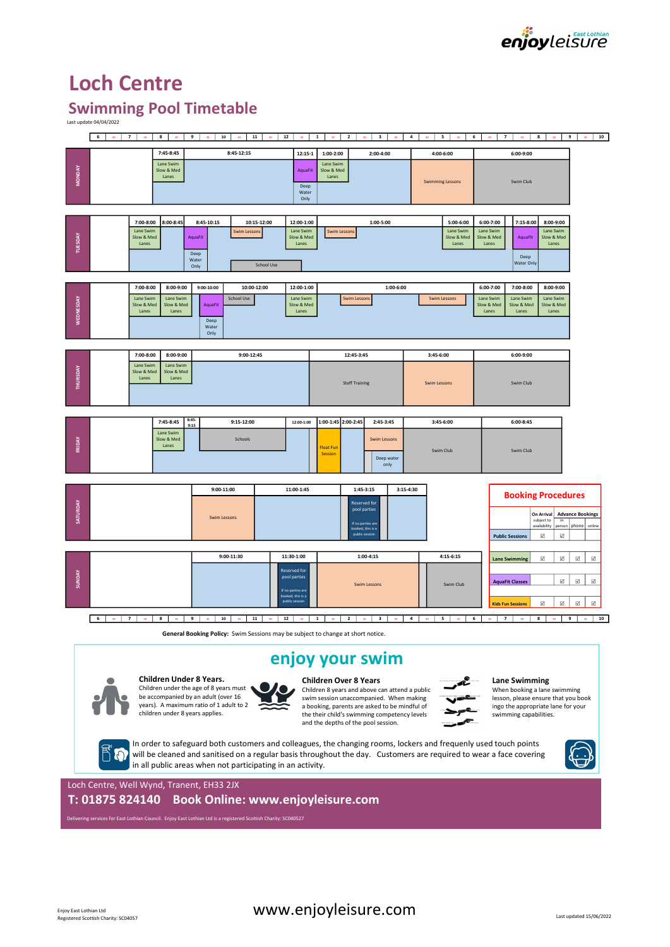

# Loch Centre

# Swimming Pool Timetable

| 7 <sup>1</sup><br>  $12$   $30$  <br>$1 \quad \frac{1}{1} \quad \frac{1}{1}$<br>$\begin{array}{ c c c c c } \hline \textbf{4} & \textbf{30} \end{array}$<br>6 <sup>1</sup><br>8<br>9<br>$30$ $10$ $30$ $11$<br>$\overline{\phantom{a}}$ 3<br>5 <sup>1</sup><br>6 <sup>1</sup><br>$7-1$<br>8<br>9<br><b>ROLL</b><br>— sn l<br><b>Sec.</b><br><b>Security</b><br>an i<br><b>BOL</b><br>7:45-8:45<br>8:45-12:15<br>$12:15-1$<br>1:00-2:00<br>2:00-4:00<br>4:00-6:00<br>6:00-9:00<br>Lane Swim<br>Lane Swim<br><b>MONDAY</b><br>Slow & Med<br>Slow & Med<br>AquaFit<br>Lanes<br>Lanes<br><b>Swimming Lessons</b><br>Swim Club<br>Deep<br>Water<br>Only<br>7:15-8:00<br>7:00-8:00<br>8:00-8:45<br>8:45-10:15<br>10:15-12:00<br>12:00-1:00<br>1:00-5:00<br>5:00-6:00<br>6:00-7:00<br>8:00-9:00<br>Lane Swim<br>Lane Swim<br>Lane Swim<br>Lane Swim<br>Lane Swim<br>Swim Lessons<br>Swim Lessons<br>TUESDAY<br>Slow & Med<br>Slow & Med<br>Slow & Med<br>Slow & Med<br>Slow & Med<br>AquaFit<br>AquaFit<br>Lanes<br>Lanes<br>Lanes<br>Lanes<br>Lanes<br>Deep<br>Deep<br>Water<br>Water Only<br><b>School Use</b><br>Only<br>$9:00-10:00$<br>7:00-8:00<br>8:00-9:00<br>10:00-12:00<br>12:00-1:00<br>1:00-6:00<br>6:00-7:00<br>7:00-8:00<br>8:00-9:00<br><b>WEDNESDAY</b><br>Lane Swim<br>Lane Swim<br>Lane Swim<br>School Use<br>Lane Swim<br>Lane Swim<br>Lane Swim<br><b>Swim Lessons</b><br><b>Swim Lessons</b><br>Slow & Med<br>Slow & Med<br>Slow & Med<br>Slow & Med<br>AquaFi<br>Slow & Med<br>Slow & Med<br>Lanes<br>Lanes<br>Lanes<br>Lanes<br>Lanes<br>Lanes<br>Deep<br>Water<br>Only<br>7:00-8:00<br>8:00-9:00<br>9:00-12:45<br>12:45-3:45<br>3:45-6:00<br>6:00-9:00<br>Lane Swim<br>Lane Swim<br>THURSDAY<br>Slow & Med<br>Slow & Med<br>Lanes<br>Lanes<br><b>Staff Training</b><br>Swim Club<br><b>Swim Lessons</b><br>$8:45-$<br>1:00-1:45 2:00-2:45<br>7:45-8:45<br>9:15-12:00<br>2:45-3:45<br>3:45-6:00<br>6:00-8:45<br>12:00-1:00<br>9:15<br>Lane Swim<br>FRIDAY<br>Slow & Med<br>Schools<br><b>Swim Lessons</b><br>Lanes<br>Float Fun<br>Swim Club<br>Swim Club<br><b>Session</b><br>Deep water<br>only<br>1:45-3:15<br>3:15-4:30<br>9:00-11:00<br>11:00-1:45<br><b>Booking Procedures</b><br>SATURDAY<br>Reserved for<br>pool parties<br><b>Swim Lessons</b><br>subject to<br>in<br>If no parties are<br>availability person<br>phone<br>ooked, this is a<br>public sessic<br>$\boxtimes$<br>$\Box$<br><b>Public Sessions</b><br>$9:00-11:30$<br>11:30-1:00<br>1:00-4:15<br>$4:15-6:15$<br>$\boxed{\text{M}}$<br>$\Box$<br>$\boxdot$<br>$\boxtimes$<br><b>Lane Swimming</b><br><b>Reserved for</b><br><b>SUNDAY</b><br>pool parties<br>$\boxdot$<br>$\overline{\mathbf{v}}$<br>$\boxtimes$<br><b>AquaFit Classes</b><br>Swim Club<br>Swim Lessons<br>If no parties are<br>booked, this is a<br>public session<br>$\boxdot$<br>$\boxdot$<br>$\overline{\mathsf{v}}$<br>$\boxed{\checkmark}$<br><b>Kids Fun Sessions</b><br>6  <br>7 <sup>1</sup><br>9<br>$30$ $10$<br>11<br>12<br>$\overline{2}$<br>- 3  <br>$4 \quad 30$<br>5 <sup>1</sup><br>6 <sup>1</sup><br>7 <sup>1</sup><br>8 <sup>1</sup><br>9<br>8<br>$\vert$ 1 $\vert$<br>30<br>30<br>General Booking Policy: Swim Sessions may be subject to change at short notice.<br>enjoy your swim<br><b>Children Under 8 Years.</b><br><b>Children Over 8 Years</b><br><b>Lane Swimming</b><br>Children under the age of 8 years must<br>Children 8 years and above can attend a public<br>When booking a lane swimming<br>be accompanied by an adult (over 16<br>swim session unaccompanied. When making<br>lesson, please ensure that you book<br>years). A maximum ratio of 1 adult to 2<br>a booking, parents are asked to be mindful of<br>ingo the appropriate lane for your<br>children under 8 years applies.<br>the their child's swimming competency levels<br>swimming capabilities.<br>and the depths of the pool session.<br>In order to safeguard both customers and colleagues, the changing rooms, lockers and frequenly used touch points<br>will be cleaned and sanitised on a regular basis throughout the day. Customers are required to wear a face covering<br>in all public areas when not participating in an activity.<br>Loch Centre, Well Wynd, Tranent, EH33 2JX<br>T: 01875 824140 Book Online: www.enjoyleisure.com<br>Delivering services for East Lothian Council. Enjoy East Lothian Ltd is a registered Scottish Charity: SC040527 | <b>Swimming Pool Timetable</b><br>Last update 04/04/2022 |  |  |  |    |
|---------------------------------------------------------------------------------------------------------------------------------------------------------------------------------------------------------------------------------------------------------------------------------------------------------------------------------------------------------------------------------------------------------------------------------------------------------------------------------------------------------------------------------------------------------------------------------------------------------------------------------------------------------------------------------------------------------------------------------------------------------------------------------------------------------------------------------------------------------------------------------------------------------------------------------------------------------------------------------------------------------------------------------------------------------------------------------------------------------------------------------------------------------------------------------------------------------------------------------------------------------------------------------------------------------------------------------------------------------------------------------------------------------------------------------------------------------------------------------------------------------------------------------------------------------------------------------------------------------------------------------------------------------------------------------------------------------------------------------------------------------------------------------------------------------------------------------------------------------------------------------------------------------------------------------------------------------------------------------------------------------------------------------------------------------------------------------------------------------------------------------------------------------------------------------------------------------------------------------------------------------------------------------------------------------------------------------------------------------------------------------------------------------------------------------------------------------------------------------------------------------------------------------------------------------------------------------------------------------------------------------------------------------------------------------------------------------------------------------------------------------------------------------------------------------------------------------------------------------------------------------------------------------------------------------------------------------------------------------------------------------------------------------------------------------------------------------------------------------------------------------------------------------------------------------------------------------------------------------------------------------------------------------------------------------------------------------------------------------------------------------------------------------------------------------------------------------------------------------------------------------------------------------------------------------------------------------------------------------------------------------------------------------------------------------------------------------------------------------------------------------------------------------------------------------------------------------------------------------------------------------------------------------------------------------------------------------------------------------------------------------------------------------------------------------------------------------------------------------------------------------------------------------------------------------------------------------------------------------------------------------------------------------------------------------------------------------------------------------------------------------------------------------------------------------|----------------------------------------------------------|--|--|--|----|
| online                                                                                                                                                                                                                                                                                                                                                                                                                                                                                                                                                                                                                                                                                                                                                                                                                                                                                                                                                                                                                                                                                                                                                                                                                                                                                                                                                                                                                                                                                                                                                                                                                                                                                                                                                                                                                                                                                                                                                                                                                                                                                                                                                                                                                                                                                                                                                                                                                                                                                                                                                                                                                                                                                                                                                                                                                                                                                                                                                                                                                                                                                                                                                                                                                                                                                                                                                                                                                                                                                                                                                                                                                                                                                                                                                                                                                                                                                                                                                                                                                                                                                                                                                                                                                                                                                                                                                                                                                          |                                                          |  |  |  | 10 |
|                                                                                                                                                                                                                                                                                                                                                                                                                                                                                                                                                                                                                                                                                                                                                                                                                                                                                                                                                                                                                                                                                                                                                                                                                                                                                                                                                                                                                                                                                                                                                                                                                                                                                                                                                                                                                                                                                                                                                                                                                                                                                                                                                                                                                                                                                                                                                                                                                                                                                                                                                                                                                                                                                                                                                                                                                                                                                                                                                                                                                                                                                                                                                                                                                                                                                                                                                                                                                                                                                                                                                                                                                                                                                                                                                                                                                                                                                                                                                                                                                                                                                                                                                                                                                                                                                                                                                                                                                                 |                                                          |  |  |  |    |
|                                                                                                                                                                                                                                                                                                                                                                                                                                                                                                                                                                                                                                                                                                                                                                                                                                                                                                                                                                                                                                                                                                                                                                                                                                                                                                                                                                                                                                                                                                                                                                                                                                                                                                                                                                                                                                                                                                                                                                                                                                                                                                                                                                                                                                                                                                                                                                                                                                                                                                                                                                                                                                                                                                                                                                                                                                                                                                                                                                                                                                                                                                                                                                                                                                                                                                                                                                                                                                                                                                                                                                                                                                                                                                                                                                                                                                                                                                                                                                                                                                                                                                                                                                                                                                                                                                                                                                                                                                 |                                                          |  |  |  |    |
|                                                                                                                                                                                                                                                                                                                                                                                                                                                                                                                                                                                                                                                                                                                                                                                                                                                                                                                                                                                                                                                                                                                                                                                                                                                                                                                                                                                                                                                                                                                                                                                                                                                                                                                                                                                                                                                                                                                                                                                                                                                                                                                                                                                                                                                                                                                                                                                                                                                                                                                                                                                                                                                                                                                                                                                                                                                                                                                                                                                                                                                                                                                                                                                                                                                                                                                                                                                                                                                                                                                                                                                                                                                                                                                                                                                                                                                                                                                                                                                                                                                                                                                                                                                                                                                                                                                                                                                                                                 |                                                          |  |  |  |    |
| On Arrival Advance Bookings                                                                                                                                                                                                                                                                                                                                                                                                                                                                                                                                                                                                                                                                                                                                                                                                                                                                                                                                                                                                                                                                                                                                                                                                                                                                                                                                                                                                                                                                                                                                                                                                                                                                                                                                                                                                                                                                                                                                                                                                                                                                                                                                                                                                                                                                                                                                                                                                                                                                                                                                                                                                                                                                                                                                                                                                                                                                                                                                                                                                                                                                                                                                                                                                                                                                                                                                                                                                                                                                                                                                                                                                                                                                                                                                                                                                                                                                                                                                                                                                                                                                                                                                                                                                                                                                                                                                                                                                     |                                                          |  |  |  |    |
|                                                                                                                                                                                                                                                                                                                                                                                                                                                                                                                                                                                                                                                                                                                                                                                                                                                                                                                                                                                                                                                                                                                                                                                                                                                                                                                                                                                                                                                                                                                                                                                                                                                                                                                                                                                                                                                                                                                                                                                                                                                                                                                                                                                                                                                                                                                                                                                                                                                                                                                                                                                                                                                                                                                                                                                                                                                                                                                                                                                                                                                                                                                                                                                                                                                                                                                                                                                                                                                                                                                                                                                                                                                                                                                                                                                                                                                                                                                                                                                                                                                                                                                                                                                                                                                                                                                                                                                                                                 |                                                          |  |  |  |    |
|                                                                                                                                                                                                                                                                                                                                                                                                                                                                                                                                                                                                                                                                                                                                                                                                                                                                                                                                                                                                                                                                                                                                                                                                                                                                                                                                                                                                                                                                                                                                                                                                                                                                                                                                                                                                                                                                                                                                                                                                                                                                                                                                                                                                                                                                                                                                                                                                                                                                                                                                                                                                                                                                                                                                                                                                                                                                                                                                                                                                                                                                                                                                                                                                                                                                                                                                                                                                                                                                                                                                                                                                                                                                                                                                                                                                                                                                                                                                                                                                                                                                                                                                                                                                                                                                                                                                                                                                                                 |                                                          |  |  |  |    |
|                                                                                                                                                                                                                                                                                                                                                                                                                                                                                                                                                                                                                                                                                                                                                                                                                                                                                                                                                                                                                                                                                                                                                                                                                                                                                                                                                                                                                                                                                                                                                                                                                                                                                                                                                                                                                                                                                                                                                                                                                                                                                                                                                                                                                                                                                                                                                                                                                                                                                                                                                                                                                                                                                                                                                                                                                                                                                                                                                                                                                                                                                                                                                                                                                                                                                                                                                                                                                                                                                                                                                                                                                                                                                                                                                                                                                                                                                                                                                                                                                                                                                                                                                                                                                                                                                                                                                                                                                                 |                                                          |  |  |  |    |
|                                                                                                                                                                                                                                                                                                                                                                                                                                                                                                                                                                                                                                                                                                                                                                                                                                                                                                                                                                                                                                                                                                                                                                                                                                                                                                                                                                                                                                                                                                                                                                                                                                                                                                                                                                                                                                                                                                                                                                                                                                                                                                                                                                                                                                                                                                                                                                                                                                                                                                                                                                                                                                                                                                                                                                                                                                                                                                                                                                                                                                                                                                                                                                                                                                                                                                                                                                                                                                                                                                                                                                                                                                                                                                                                                                                                                                                                                                                                                                                                                                                                                                                                                                                                                                                                                                                                                                                                                                 |                                                          |  |  |  |    |
|                                                                                                                                                                                                                                                                                                                                                                                                                                                                                                                                                                                                                                                                                                                                                                                                                                                                                                                                                                                                                                                                                                                                                                                                                                                                                                                                                                                                                                                                                                                                                                                                                                                                                                                                                                                                                                                                                                                                                                                                                                                                                                                                                                                                                                                                                                                                                                                                                                                                                                                                                                                                                                                                                                                                                                                                                                                                                                                                                                                                                                                                                                                                                                                                                                                                                                                                                                                                                                                                                                                                                                                                                                                                                                                                                                                                                                                                                                                                                                                                                                                                                                                                                                                                                                                                                                                                                                                                                                 |                                                          |  |  |  |    |
|                                                                                                                                                                                                                                                                                                                                                                                                                                                                                                                                                                                                                                                                                                                                                                                                                                                                                                                                                                                                                                                                                                                                                                                                                                                                                                                                                                                                                                                                                                                                                                                                                                                                                                                                                                                                                                                                                                                                                                                                                                                                                                                                                                                                                                                                                                                                                                                                                                                                                                                                                                                                                                                                                                                                                                                                                                                                                                                                                                                                                                                                                                                                                                                                                                                                                                                                                                                                                                                                                                                                                                                                                                                                                                                                                                                                                                                                                                                                                                                                                                                                                                                                                                                                                                                                                                                                                                                                                                 |                                                          |  |  |  |    |
|                                                                                                                                                                                                                                                                                                                                                                                                                                                                                                                                                                                                                                                                                                                                                                                                                                                                                                                                                                                                                                                                                                                                                                                                                                                                                                                                                                                                                                                                                                                                                                                                                                                                                                                                                                                                                                                                                                                                                                                                                                                                                                                                                                                                                                                                                                                                                                                                                                                                                                                                                                                                                                                                                                                                                                                                                                                                                                                                                                                                                                                                                                                                                                                                                                                                                                                                                                                                                                                                                                                                                                                                                                                                                                                                                                                                                                                                                                                                                                                                                                                                                                                                                                                                                                                                                                                                                                                                                                 |                                                          |  |  |  |    |
|                                                                                                                                                                                                                                                                                                                                                                                                                                                                                                                                                                                                                                                                                                                                                                                                                                                                                                                                                                                                                                                                                                                                                                                                                                                                                                                                                                                                                                                                                                                                                                                                                                                                                                                                                                                                                                                                                                                                                                                                                                                                                                                                                                                                                                                                                                                                                                                                                                                                                                                                                                                                                                                                                                                                                                                                                                                                                                                                                                                                                                                                                                                                                                                                                                                                                                                                                                                                                                                                                                                                                                                                                                                                                                                                                                                                                                                                                                                                                                                                                                                                                                                                                                                                                                                                                                                                                                                                                                 |                                                          |  |  |  |    |
|                                                                                                                                                                                                                                                                                                                                                                                                                                                                                                                                                                                                                                                                                                                                                                                                                                                                                                                                                                                                                                                                                                                                                                                                                                                                                                                                                                                                                                                                                                                                                                                                                                                                                                                                                                                                                                                                                                                                                                                                                                                                                                                                                                                                                                                                                                                                                                                                                                                                                                                                                                                                                                                                                                                                                                                                                                                                                                                                                                                                                                                                                                                                                                                                                                                                                                                                                                                                                                                                                                                                                                                                                                                                                                                                                                                                                                                                                                                                                                                                                                                                                                                                                                                                                                                                                                                                                                                                                                 |                                                          |  |  |  |    |
|                                                                                                                                                                                                                                                                                                                                                                                                                                                                                                                                                                                                                                                                                                                                                                                                                                                                                                                                                                                                                                                                                                                                                                                                                                                                                                                                                                                                                                                                                                                                                                                                                                                                                                                                                                                                                                                                                                                                                                                                                                                                                                                                                                                                                                                                                                                                                                                                                                                                                                                                                                                                                                                                                                                                                                                                                                                                                                                                                                                                                                                                                                                                                                                                                                                                                                                                                                                                                                                                                                                                                                                                                                                                                                                                                                                                                                                                                                                                                                                                                                                                                                                                                                                                                                                                                                                                                                                                                                 |                                                          |  |  |  |    |
|                                                                                                                                                                                                                                                                                                                                                                                                                                                                                                                                                                                                                                                                                                                                                                                                                                                                                                                                                                                                                                                                                                                                                                                                                                                                                                                                                                                                                                                                                                                                                                                                                                                                                                                                                                                                                                                                                                                                                                                                                                                                                                                                                                                                                                                                                                                                                                                                                                                                                                                                                                                                                                                                                                                                                                                                                                                                                                                                                                                                                                                                                                                                                                                                                                                                                                                                                                                                                                                                                                                                                                                                                                                                                                                                                                                                                                                                                                                                                                                                                                                                                                                                                                                                                                                                                                                                                                                                                                 |                                                          |  |  |  |    |
|                                                                                                                                                                                                                                                                                                                                                                                                                                                                                                                                                                                                                                                                                                                                                                                                                                                                                                                                                                                                                                                                                                                                                                                                                                                                                                                                                                                                                                                                                                                                                                                                                                                                                                                                                                                                                                                                                                                                                                                                                                                                                                                                                                                                                                                                                                                                                                                                                                                                                                                                                                                                                                                                                                                                                                                                                                                                                                                                                                                                                                                                                                                                                                                                                                                                                                                                                                                                                                                                                                                                                                                                                                                                                                                                                                                                                                                                                                                                                                                                                                                                                                                                                                                                                                                                                                                                                                                                                                 |                                                          |  |  |  |    |
|                                                                                                                                                                                                                                                                                                                                                                                                                                                                                                                                                                                                                                                                                                                                                                                                                                                                                                                                                                                                                                                                                                                                                                                                                                                                                                                                                                                                                                                                                                                                                                                                                                                                                                                                                                                                                                                                                                                                                                                                                                                                                                                                                                                                                                                                                                                                                                                                                                                                                                                                                                                                                                                                                                                                                                                                                                                                                                                                                                                                                                                                                                                                                                                                                                                                                                                                                                                                                                                                                                                                                                                                                                                                                                                                                                                                                                                                                                                                                                                                                                                                                                                                                                                                                                                                                                                                                                                                                                 |                                                          |  |  |  |    |
|                                                                                                                                                                                                                                                                                                                                                                                                                                                                                                                                                                                                                                                                                                                                                                                                                                                                                                                                                                                                                                                                                                                                                                                                                                                                                                                                                                                                                                                                                                                                                                                                                                                                                                                                                                                                                                                                                                                                                                                                                                                                                                                                                                                                                                                                                                                                                                                                                                                                                                                                                                                                                                                                                                                                                                                                                                                                                                                                                                                                                                                                                                                                                                                                                                                                                                                                                                                                                                                                                                                                                                                                                                                                                                                                                                                                                                                                                                                                                                                                                                                                                                                                                                                                                                                                                                                                                                                                                                 |                                                          |  |  |  |    |
|                                                                                                                                                                                                                                                                                                                                                                                                                                                                                                                                                                                                                                                                                                                                                                                                                                                                                                                                                                                                                                                                                                                                                                                                                                                                                                                                                                                                                                                                                                                                                                                                                                                                                                                                                                                                                                                                                                                                                                                                                                                                                                                                                                                                                                                                                                                                                                                                                                                                                                                                                                                                                                                                                                                                                                                                                                                                                                                                                                                                                                                                                                                                                                                                                                                                                                                                                                                                                                                                                                                                                                                                                                                                                                                                                                                                                                                                                                                                                                                                                                                                                                                                                                                                                                                                                                                                                                                                                                 |                                                          |  |  |  |    |
|                                                                                                                                                                                                                                                                                                                                                                                                                                                                                                                                                                                                                                                                                                                                                                                                                                                                                                                                                                                                                                                                                                                                                                                                                                                                                                                                                                                                                                                                                                                                                                                                                                                                                                                                                                                                                                                                                                                                                                                                                                                                                                                                                                                                                                                                                                                                                                                                                                                                                                                                                                                                                                                                                                                                                                                                                                                                                                                                                                                                                                                                                                                                                                                                                                                                                                                                                                                                                                                                                                                                                                                                                                                                                                                                                                                                                                                                                                                                                                                                                                                                                                                                                                                                                                                                                                                                                                                                                                 |                                                          |  |  |  |    |
|                                                                                                                                                                                                                                                                                                                                                                                                                                                                                                                                                                                                                                                                                                                                                                                                                                                                                                                                                                                                                                                                                                                                                                                                                                                                                                                                                                                                                                                                                                                                                                                                                                                                                                                                                                                                                                                                                                                                                                                                                                                                                                                                                                                                                                                                                                                                                                                                                                                                                                                                                                                                                                                                                                                                                                                                                                                                                                                                                                                                                                                                                                                                                                                                                                                                                                                                                                                                                                                                                                                                                                                                                                                                                                                                                                                                                                                                                                                                                                                                                                                                                                                                                                                                                                                                                                                                                                                                                                 |                                                          |  |  |  |    |
|                                                                                                                                                                                                                                                                                                                                                                                                                                                                                                                                                                                                                                                                                                                                                                                                                                                                                                                                                                                                                                                                                                                                                                                                                                                                                                                                                                                                                                                                                                                                                                                                                                                                                                                                                                                                                                                                                                                                                                                                                                                                                                                                                                                                                                                                                                                                                                                                                                                                                                                                                                                                                                                                                                                                                                                                                                                                                                                                                                                                                                                                                                                                                                                                                                                                                                                                                                                                                                                                                                                                                                                                                                                                                                                                                                                                                                                                                                                                                                                                                                                                                                                                                                                                                                                                                                                                                                                                                                 |                                                          |  |  |  |    |
|                                                                                                                                                                                                                                                                                                                                                                                                                                                                                                                                                                                                                                                                                                                                                                                                                                                                                                                                                                                                                                                                                                                                                                                                                                                                                                                                                                                                                                                                                                                                                                                                                                                                                                                                                                                                                                                                                                                                                                                                                                                                                                                                                                                                                                                                                                                                                                                                                                                                                                                                                                                                                                                                                                                                                                                                                                                                                                                                                                                                                                                                                                                                                                                                                                                                                                                                                                                                                                                                                                                                                                                                                                                                                                                                                                                                                                                                                                                                                                                                                                                                                                                                                                                                                                                                                                                                                                                                                                 |                                                          |  |  |  |    |
|                                                                                                                                                                                                                                                                                                                                                                                                                                                                                                                                                                                                                                                                                                                                                                                                                                                                                                                                                                                                                                                                                                                                                                                                                                                                                                                                                                                                                                                                                                                                                                                                                                                                                                                                                                                                                                                                                                                                                                                                                                                                                                                                                                                                                                                                                                                                                                                                                                                                                                                                                                                                                                                                                                                                                                                                                                                                                                                                                                                                                                                                                                                                                                                                                                                                                                                                                                                                                                                                                                                                                                                                                                                                                                                                                                                                                                                                                                                                                                                                                                                                                                                                                                                                                                                                                                                                                                                                                                 |                                                          |  |  |  |    |
|                                                                                                                                                                                                                                                                                                                                                                                                                                                                                                                                                                                                                                                                                                                                                                                                                                                                                                                                                                                                                                                                                                                                                                                                                                                                                                                                                                                                                                                                                                                                                                                                                                                                                                                                                                                                                                                                                                                                                                                                                                                                                                                                                                                                                                                                                                                                                                                                                                                                                                                                                                                                                                                                                                                                                                                                                                                                                                                                                                                                                                                                                                                                                                                                                                                                                                                                                                                                                                                                                                                                                                                                                                                                                                                                                                                                                                                                                                                                                                                                                                                                                                                                                                                                                                                                                                                                                                                                                                 |                                                          |  |  |  |    |
|                                                                                                                                                                                                                                                                                                                                                                                                                                                                                                                                                                                                                                                                                                                                                                                                                                                                                                                                                                                                                                                                                                                                                                                                                                                                                                                                                                                                                                                                                                                                                                                                                                                                                                                                                                                                                                                                                                                                                                                                                                                                                                                                                                                                                                                                                                                                                                                                                                                                                                                                                                                                                                                                                                                                                                                                                                                                                                                                                                                                                                                                                                                                                                                                                                                                                                                                                                                                                                                                                                                                                                                                                                                                                                                                                                                                                                                                                                                                                                                                                                                                                                                                                                                                                                                                                                                                                                                                                                 |                                                          |  |  |  |    |
|                                                                                                                                                                                                                                                                                                                                                                                                                                                                                                                                                                                                                                                                                                                                                                                                                                                                                                                                                                                                                                                                                                                                                                                                                                                                                                                                                                                                                                                                                                                                                                                                                                                                                                                                                                                                                                                                                                                                                                                                                                                                                                                                                                                                                                                                                                                                                                                                                                                                                                                                                                                                                                                                                                                                                                                                                                                                                                                                                                                                                                                                                                                                                                                                                                                                                                                                                                                                                                                                                                                                                                                                                                                                                                                                                                                                                                                                                                                                                                                                                                                                                                                                                                                                                                                                                                                                                                                                                                 |                                                          |  |  |  |    |
|                                                                                                                                                                                                                                                                                                                                                                                                                                                                                                                                                                                                                                                                                                                                                                                                                                                                                                                                                                                                                                                                                                                                                                                                                                                                                                                                                                                                                                                                                                                                                                                                                                                                                                                                                                                                                                                                                                                                                                                                                                                                                                                                                                                                                                                                                                                                                                                                                                                                                                                                                                                                                                                                                                                                                                                                                                                                                                                                                                                                                                                                                                                                                                                                                                                                                                                                                                                                                                                                                                                                                                                                                                                                                                                                                                                                                                                                                                                                                                                                                                                                                                                                                                                                                                                                                                                                                                                                                                 |                                                          |  |  |  | 10 |
|                                                                                                                                                                                                                                                                                                                                                                                                                                                                                                                                                                                                                                                                                                                                                                                                                                                                                                                                                                                                                                                                                                                                                                                                                                                                                                                                                                                                                                                                                                                                                                                                                                                                                                                                                                                                                                                                                                                                                                                                                                                                                                                                                                                                                                                                                                                                                                                                                                                                                                                                                                                                                                                                                                                                                                                                                                                                                                                                                                                                                                                                                                                                                                                                                                                                                                                                                                                                                                                                                                                                                                                                                                                                                                                                                                                                                                                                                                                                                                                                                                                                                                                                                                                                                                                                                                                                                                                                                                 |                                                          |  |  |  |    |
|                                                                                                                                                                                                                                                                                                                                                                                                                                                                                                                                                                                                                                                                                                                                                                                                                                                                                                                                                                                                                                                                                                                                                                                                                                                                                                                                                                                                                                                                                                                                                                                                                                                                                                                                                                                                                                                                                                                                                                                                                                                                                                                                                                                                                                                                                                                                                                                                                                                                                                                                                                                                                                                                                                                                                                                                                                                                                                                                                                                                                                                                                                                                                                                                                                                                                                                                                                                                                                                                                                                                                                                                                                                                                                                                                                                                                                                                                                                                                                                                                                                                                                                                                                                                                                                                                                                                                                                                                                 |                                                          |  |  |  |    |
|                                                                                                                                                                                                                                                                                                                                                                                                                                                                                                                                                                                                                                                                                                                                                                                                                                                                                                                                                                                                                                                                                                                                                                                                                                                                                                                                                                                                                                                                                                                                                                                                                                                                                                                                                                                                                                                                                                                                                                                                                                                                                                                                                                                                                                                                                                                                                                                                                                                                                                                                                                                                                                                                                                                                                                                                                                                                                                                                                                                                                                                                                                                                                                                                                                                                                                                                                                                                                                                                                                                                                                                                                                                                                                                                                                                                                                                                                                                                                                                                                                                                                                                                                                                                                                                                                                                                                                                                                                 |                                                          |  |  |  |    |
|                                                                                                                                                                                                                                                                                                                                                                                                                                                                                                                                                                                                                                                                                                                                                                                                                                                                                                                                                                                                                                                                                                                                                                                                                                                                                                                                                                                                                                                                                                                                                                                                                                                                                                                                                                                                                                                                                                                                                                                                                                                                                                                                                                                                                                                                                                                                                                                                                                                                                                                                                                                                                                                                                                                                                                                                                                                                                                                                                                                                                                                                                                                                                                                                                                                                                                                                                                                                                                                                                                                                                                                                                                                                                                                                                                                                                                                                                                                                                                                                                                                                                                                                                                                                                                                                                                                                                                                                                                 |                                                          |  |  |  |    |
|                                                                                                                                                                                                                                                                                                                                                                                                                                                                                                                                                                                                                                                                                                                                                                                                                                                                                                                                                                                                                                                                                                                                                                                                                                                                                                                                                                                                                                                                                                                                                                                                                                                                                                                                                                                                                                                                                                                                                                                                                                                                                                                                                                                                                                                                                                                                                                                                                                                                                                                                                                                                                                                                                                                                                                                                                                                                                                                                                                                                                                                                                                                                                                                                                                                                                                                                                                                                                                                                                                                                                                                                                                                                                                                                                                                                                                                                                                                                                                                                                                                                                                                                                                                                                                                                                                                                                                                                                                 |                                                          |  |  |  |    |
|                                                                                                                                                                                                                                                                                                                                                                                                                                                                                                                                                                                                                                                                                                                                                                                                                                                                                                                                                                                                                                                                                                                                                                                                                                                                                                                                                                                                                                                                                                                                                                                                                                                                                                                                                                                                                                                                                                                                                                                                                                                                                                                                                                                                                                                                                                                                                                                                                                                                                                                                                                                                                                                                                                                                                                                                                                                                                                                                                                                                                                                                                                                                                                                                                                                                                                                                                                                                                                                                                                                                                                                                                                                                                                                                                                                                                                                                                                                                                                                                                                                                                                                                                                                                                                                                                                                                                                                                                                 |                                                          |  |  |  |    |
|                                                                                                                                                                                                                                                                                                                                                                                                                                                                                                                                                                                                                                                                                                                                                                                                                                                                                                                                                                                                                                                                                                                                                                                                                                                                                                                                                                                                                                                                                                                                                                                                                                                                                                                                                                                                                                                                                                                                                                                                                                                                                                                                                                                                                                                                                                                                                                                                                                                                                                                                                                                                                                                                                                                                                                                                                                                                                                                                                                                                                                                                                                                                                                                                                                                                                                                                                                                                                                                                                                                                                                                                                                                                                                                                                                                                                                                                                                                                                                                                                                                                                                                                                                                                                                                                                                                                                                                                                                 |                                                          |  |  |  |    |
|                                                                                                                                                                                                                                                                                                                                                                                                                                                                                                                                                                                                                                                                                                                                                                                                                                                                                                                                                                                                                                                                                                                                                                                                                                                                                                                                                                                                                                                                                                                                                                                                                                                                                                                                                                                                                                                                                                                                                                                                                                                                                                                                                                                                                                                                                                                                                                                                                                                                                                                                                                                                                                                                                                                                                                                                                                                                                                                                                                                                                                                                                                                                                                                                                                                                                                                                                                                                                                                                                                                                                                                                                                                                                                                                                                                                                                                                                                                                                                                                                                                                                                                                                                                                                                                                                                                                                                                                                                 |                                                          |  |  |  |    |
|                                                                                                                                                                                                                                                                                                                                                                                                                                                                                                                                                                                                                                                                                                                                                                                                                                                                                                                                                                                                                                                                                                                                                                                                                                                                                                                                                                                                                                                                                                                                                                                                                                                                                                                                                                                                                                                                                                                                                                                                                                                                                                                                                                                                                                                                                                                                                                                                                                                                                                                                                                                                                                                                                                                                                                                                                                                                                                                                                                                                                                                                                                                                                                                                                                                                                                                                                                                                                                                                                                                                                                                                                                                                                                                                                                                                                                                                                                                                                                                                                                                                                                                                                                                                                                                                                                                                                                                                                                 |                                                          |  |  |  |    |
|                                                                                                                                                                                                                                                                                                                                                                                                                                                                                                                                                                                                                                                                                                                                                                                                                                                                                                                                                                                                                                                                                                                                                                                                                                                                                                                                                                                                                                                                                                                                                                                                                                                                                                                                                                                                                                                                                                                                                                                                                                                                                                                                                                                                                                                                                                                                                                                                                                                                                                                                                                                                                                                                                                                                                                                                                                                                                                                                                                                                                                                                                                                                                                                                                                                                                                                                                                                                                                                                                                                                                                                                                                                                                                                                                                                                                                                                                                                                                                                                                                                                                                                                                                                                                                                                                                                                                                                                                                 |                                                          |  |  |  |    |
|                                                                                                                                                                                                                                                                                                                                                                                                                                                                                                                                                                                                                                                                                                                                                                                                                                                                                                                                                                                                                                                                                                                                                                                                                                                                                                                                                                                                                                                                                                                                                                                                                                                                                                                                                                                                                                                                                                                                                                                                                                                                                                                                                                                                                                                                                                                                                                                                                                                                                                                                                                                                                                                                                                                                                                                                                                                                                                                                                                                                                                                                                                                                                                                                                                                                                                                                                                                                                                                                                                                                                                                                                                                                                                                                                                                                                                                                                                                                                                                                                                                                                                                                                                                                                                                                                                                                                                                                                                 |                                                          |  |  |  |    |
|                                                                                                                                                                                                                                                                                                                                                                                                                                                                                                                                                                                                                                                                                                                                                                                                                                                                                                                                                                                                                                                                                                                                                                                                                                                                                                                                                                                                                                                                                                                                                                                                                                                                                                                                                                                                                                                                                                                                                                                                                                                                                                                                                                                                                                                                                                                                                                                                                                                                                                                                                                                                                                                                                                                                                                                                                                                                                                                                                                                                                                                                                                                                                                                                                                                                                                                                                                                                                                                                                                                                                                                                                                                                                                                                                                                                                                                                                                                                                                                                                                                                                                                                                                                                                                                                                                                                                                                                                                 |                                                          |  |  |  |    |









## Loch Centre, Well Wynd, Tranent, EH33 2JX T: 01875 824140 Book Online: www.enjoyleisure.com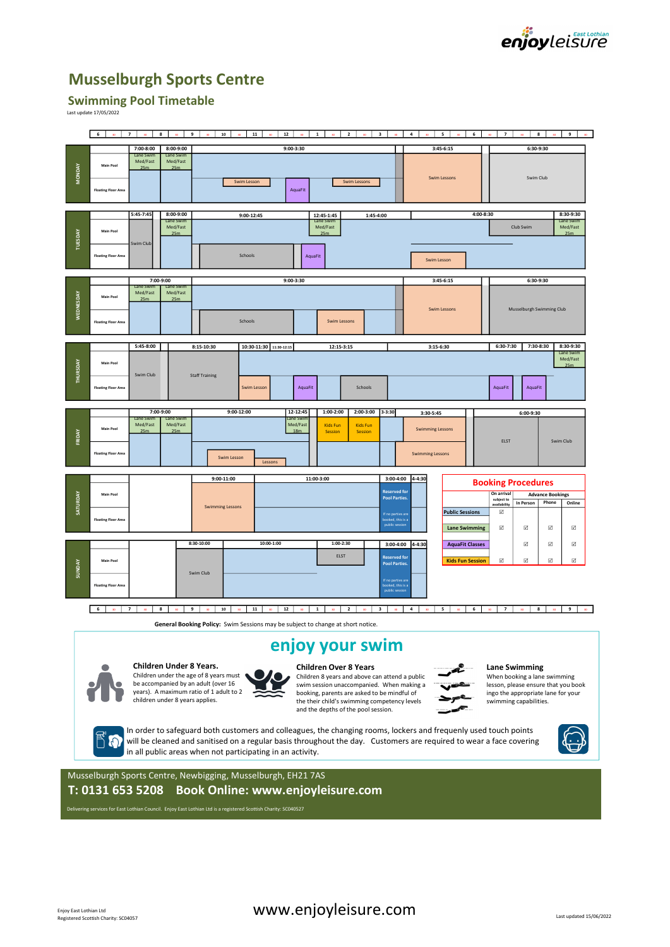

# Musselburgh Sports Centre

## Swimming Pool Timetable

|                 |                                                          |                                  |                                      |                                                                                                                 |                                                                                                                                                                                                                                         |                                                                                   | enjoyleisure                                                                                                                         |
|-----------------|----------------------------------------------------------|----------------------------------|--------------------------------------|-----------------------------------------------------------------------------------------------------------------|-----------------------------------------------------------------------------------------------------------------------------------------------------------------------------------------------------------------------------------------|-----------------------------------------------------------------------------------|--------------------------------------------------------------------------------------------------------------------------------------|
|                 |                                                          |                                  |                                      | <b>Musselburgh Sports Centre</b>                                                                                |                                                                                                                                                                                                                                         |                                                                                   |                                                                                                                                      |
|                 | <b>Swimming Pool Timetable</b><br>Last update 17/05/2022 |                                  |                                      |                                                                                                                 |                                                                                                                                                                                                                                         |                                                                                   |                                                                                                                                      |
|                 | 6                                                        | $7 \t 30$                        |                                      | 8 30 9 30 10<br>$\infty$ 11                                                                                     | $\begin{array}{ c c c }\n\hline\n\textbf{12} & \textbf{30}\n\end{array}$<br>$\vert$ 1<br>$\overline{2}$<br>3 <sup>1</sup>                                                                                                               | $-4$<br>$5^{\circ}$                                                               | 6 <sup>1</sup><br>$8-1$<br>7 <sup>1</sup><br>9 <sup>1</sup>                                                                          |
|                 | Main Pool                                                | 7:00-8:00<br>Lane Sw<br>Med/Fast | $8:00 - 9:00$<br>Lane Sw<br>Med/Fast |                                                                                                                 | $9:00 - 3:30$                                                                                                                                                                                                                           | $3:45-6:15$                                                                       | 6:30-9:30                                                                                                                            |
| <b>MONDAY</b>   | <b>Floating Floor Area</b>                               | 25m                              | 25m                                  | Swim Lesson                                                                                                     | Swim Lessons<br>AquaFit                                                                                                                                                                                                                 | Swim Lessons                                                                      | Swim Club                                                                                                                            |
|                 |                                                          | $5:45 - 7:45$                    | $8:00 - 9:00$<br>Lane Sy<br>Med/Fast | 9:00-12:45                                                                                                      | 12:45-1:45<br>1:45-4:00<br>Lane S<br>Med/Fast                                                                                                                                                                                           |                                                                                   | 4:00-8:30<br>8:30-9:30<br>Lane Swim<br>Club Swim<br>Med/Fast                                                                         |
| TUESDAY         | Main Pool                                                | wim Club                         | 25m                                  |                                                                                                                 | 25m                                                                                                                                                                                                                                     |                                                                                   | 25m                                                                                                                                  |
|                 | <b>Floating Floor Area</b>                               |                                  |                                      | Schools                                                                                                         | AquaFit                                                                                                                                                                                                                                 | Swim Lesson                                                                       |                                                                                                                                      |
|                 |                                                          | 7:00-9:00<br>Med/Fast            | Med/Fast                             |                                                                                                                 | $9:00 - 3:30$                                                                                                                                                                                                                           | $3:45-6:15$                                                                       | $6:30-9:30$                                                                                                                          |
| WEDNESDAY       | Main Pool<br><b>Floating Floor Area</b>                  | 25m                              | 25 <sub>m</sub>                      | Schools                                                                                                         | <b>Swim Lessons</b>                                                                                                                                                                                                                     | <b>Swim Lessons</b>                                                               | Musselburgh Swimming Club                                                                                                            |
|                 |                                                          | 5:45-8:00                        |                                      | 10:30-11:30 11:30-12:15<br>8:15-10:30                                                                           | 12:15-3:15                                                                                                                                                                                                                              | 3:15-6:30                                                                         | 6:30-7:30<br>7:30-8:30<br>8:30-9:30<br>Lane Swim                                                                                     |
| THURSDAY        | Main Pool<br><b>Floating Floor Area</b>                  | Swim Club                        |                                      | <b>Staff Training</b><br>Swim Lesson                                                                            | AquaFit<br>Schools                                                                                                                                                                                                                      |                                                                                   | Med/Fast<br>25m<br>AquaFit<br>AquaFit                                                                                                |
|                 |                                                          | Lane Sw                          | 7:00-9:00<br>Lane Sw                 | $9:00 - 12:00$                                                                                                  | 12-12:45<br>$1:00-2:00$<br>2:00-3:00<br>ane Sw                                                                                                                                                                                          | $3 - 3:30$<br>3:30-5:45                                                           | 6:00-9:30                                                                                                                            |
| FRIDAY          | Main Poo                                                 | Med/Fast<br>25m                  | Med/Fast<br>25m                      |                                                                                                                 | Med/Fast<br><b>Kids Fun</b><br><b>Kids Fun</b><br>18m<br>Session<br>Session                                                                                                                                                             | <b>Swimming Lessons</b>                                                           | ELST<br>Swim Club                                                                                                                    |
|                 | <b>Floating Floor Area</b>                               |                                  |                                      | Swim Lesson<br>Lessons                                                                                          |                                                                                                                                                                                                                                         | <b>Swimming Lessons</b>                                                           |                                                                                                                                      |
|                 |                                                          |                                  |                                      | 9:00-11:00                                                                                                      | 11:00-3:00                                                                                                                                                                                                                              | 3:00-4:00 4-4:30                                                                  | <b>Booking Procedures</b>                                                                                                            |
| <b>SATURDAY</b> | Main Poo                                                 |                                  |                                      | <b>Swimming Lessons</b>                                                                                         |                                                                                                                                                                                                                                         | Reserved for<br><b>Pool Parties.</b><br><b>Public Sessions</b><br>f no parties an | On arrival<br><b>Advance Bookings</b><br>subject to<br>Phone<br>In Person<br>Online<br><b>wailability</b><br>$\overline{\mathbf{v}}$ |
|                 | <b>Floating Floor Area</b>                               |                                  |                                      |                                                                                                                 |                                                                                                                                                                                                                                         | ooked, this is a<br>public sessio<br><b>Lane Swimming</b>                         | $\overline{\mathbb{M}}$<br>$\overline{\mathbf{v}}$<br>$\Box$<br>$\overline{\mathbb{M}}$                                              |
|                 | Main Poo                                                 |                                  |                                      | 8:30-10:00<br>10:00-1:00                                                                                        | $1:00-2:30$<br>ELST                                                                                                                                                                                                                     | 3:00-4:00 4-4:30<br><b>AquaFit Classes</b><br><b>Reserved for</b>                 | $\boxtimes$<br>$\overline{\mathbf{v}}$<br>☑<br>$\boxed{\text{v}}$                                                                    |
| <b>SUNDAY</b>   |                                                          |                                  |                                      | Swim Club                                                                                                       |                                                                                                                                                                                                                                         | <b>Kids Fun Session</b><br><b>Pool Parties.</b><br>If no parties an               | $\boxtimes$<br>$\boxtimes$<br>$\boxdot$                                                                                              |
|                 | <b>Floating Floor Area</b>                               |                                  |                                      |                                                                                                                 |                                                                                                                                                                                                                                         | ooked, this is a<br>public sessi                                                  |                                                                                                                                      |
|                 | 6 30 7                                                   |                                  | 8 <sup>1</sup><br>$30-1$             | 9<br>10<br>11                                                                                                   | 30 3 30<br>12<br>$\vert$ 1<br>$\overline{2}$<br>General Booking Policy: Swim Sessions may be subject to change at short notice.                                                                                                         | $-4$<br>$5^{\circ}$                                                               | $6-1$<br>$\overline{7}$<br>8<br>9                                                                                                    |
|                 |                                                          |                                  |                                      |                                                                                                                 | enjoy your swim                                                                                                                                                                                                                         |                                                                                   |                                                                                                                                      |
|                 |                                                          |                                  | Children Under 8 Years.              | Children under the age of 8 years must                                                                          | <b>Children Over 8 Years</b>                                                                                                                                                                                                            |                                                                                   | <b>Lane Swimming</b>                                                                                                                 |
|                 |                                                          |                                  | children under 8 years applies.      | be accompanied by an adult (over 16<br>years). A maximum ratio of 1 adult to 2                                  | Children 8 years and above can attend a public<br>swim session unaccompanied. When making a<br>booking, parents are asked to be mindful of<br>the their child's swimming competency levels<br>and the depths of the pool session.       |                                                                                   | When booking a lane swimming<br>lesson, please ensure that you book<br>ingo the appropriate lane for your<br>swimming capabilities.  |
|                 |                                                          |                                  |                                      | in all public areas when not participating in an activity.                                                      | In order to safeguard both customers and colleagues, the changing rooms, lockers and frequenly used touch points<br>will be cleaned and sanitised on a regular basis throughout the day. Customers are required to wear a face covering |                                                                                   |                                                                                                                                      |
|                 |                                                          |                                  |                                      | Musselburgh Sports Centre, Newbigging, Musselburgh, EH21 7AS                                                    |                                                                                                                                                                                                                                         |                                                                                   |                                                                                                                                      |
|                 |                                                          |                                  |                                      |                                                                                                                 | T: 0131 653 5208 Book Online: www.enjoyleisure.com                                                                                                                                                                                      |                                                                                   |                                                                                                                                      |
|                 |                                                          |                                  |                                      | Delivering services for East Lothian Council. Enjoy East Lothian Ltd is a registered Scottish Charity: SC040527 |                                                                                                                                                                                                                                         |                                                                                   |                                                                                                                                      |

## enjoy your swim